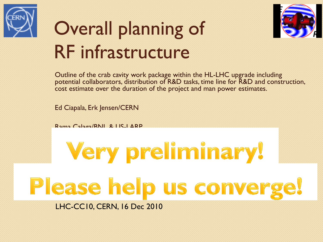

## Overall planning of RF infrastructure



Outline of the crab cavity work package within the HL-LHC upgrade including potential collaborators, distribution of R&D tasks, time line for R&D and construction, cost estimate over the duration of the project and man power estimates.

Ed Ciapala, Erk Jensen/CERN

Rama Calaga/BNL & US-LARP

# Very preliminary! Please help us converge!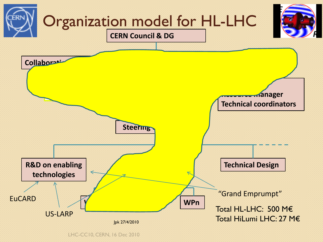

LHC-CC10, CERN, 16 Dec 2010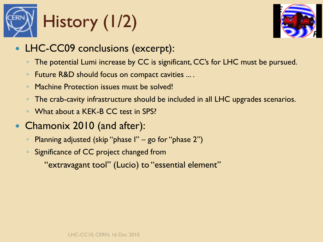



- LHC-CC09 conclusions (excerpt):
	- The potential Lumi increase by CC is significant, CC's for LHC must be pursued.
	- Future R&D should focus on compact cavities ... .
	- Machine Protection issues must be solved!
	- The crab-cavity infrastructure should be included in all LHC upgrades scenarios.
	- What about a KEK-B CC test in SPS?
- Chamonix 2010 (and after):
	- Planning adjusted (skip "phase I" go for "phase 2")
	- Significance of CC project changed from

"extravagant tool" (Lucio) to "essential element"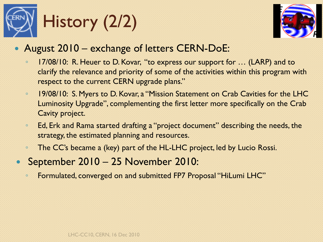



- August 2010 exchange of letters CERN-DoE:
	- 17/08/10: R. Heuer to D. Kovar, "to express our support for … (LARP) and to clarify the relevance and priority of some of the activities within this program with respect to the current CERN upgrade plans."
	- 19/08/10: S. Myers to D. Kovar, a "Mission Statement on Crab Cavities for the LHC Luminosity Upgrade", complementing the first letter more specifically on the Crab Cavity project.
	- Ed, Erk and Rama started drafting a "project document" describing the needs, the strategy, the estimated planning and resources.
	- The CC's became a (key) part of the HL-LHC project, led by Lucio Rossi.
- September 2010 25 November 2010:
	- Formulated, converged on and submitted FP7 Proposal "HiLumi LHC"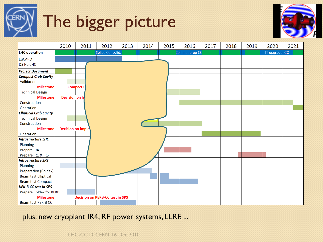# The bigger picture





plus: new cryoplant IR4, RF power systems, LLRF, ...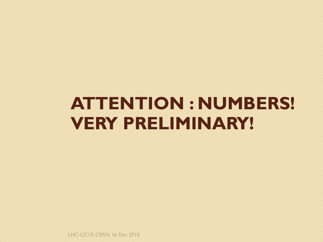### **ATTENTION : NUMBERS! VERY PRELIMINARY!**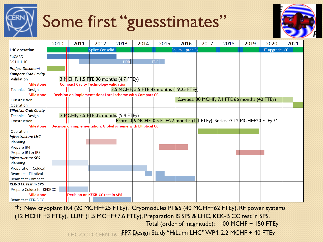# Some first "guesstimates"



|                               | 2010 | 2011                                                         | 2012             | 2013       | 2014 | 2015       | 2016                                                                                 | 2017 | 2018 | 2019                                           | 2020           | 2021 |
|-------------------------------|------|--------------------------------------------------------------|------------------|------------|------|------------|--------------------------------------------------------------------------------------|------|------|------------------------------------------------|----------------|------|
| <b>LHC</b> operation          |      |                                                              | Splice Consolid. |            |      |            | Collim., prep CC                                                                     |      |      |                                                | IT upgrade, CC |      |
| <b>EuCARD</b>                 |      |                                                              |                  |            |      |            |                                                                                      |      |      |                                                |                |      |
| <b>DS HL-LHC</b>              |      |                                                              |                  | <b>PDR</b> |      | <b>TDR</b> |                                                                                      |      |      |                                                |                |      |
| <b>Project Document</b>       |      |                                                              |                  |            |      |            |                                                                                      |      |      |                                                |                |      |
| <b>Compact Crab Cavity</b>    |      |                                                              |                  |            |      |            |                                                                                      |      |      |                                                |                |      |
| Validation                    |      | 3 MCHF, 1.5 FTE 38 months $(4.7$ FTEy)                       |                  |            |      |            |                                                                                      |      |      |                                                |                |      |
| <b>Milestone</b>              |      | <b>Compact Cavity Technology validation</b>                  |                  |            |      |            |                                                                                      |      |      |                                                |                |      |
| <b>Technical Design</b>       |      |                                                              |                  |            |      |            | 3.5 MCHF, 5.5 FTE $42$ months (19.25 FTEy)                                           |      |      |                                                |                |      |
| <b>Milestone</b>              |      | Decision on implementation: Local scheme with Compact CC     |                  |            |      |            |                                                                                      |      |      |                                                |                |      |
| Construction                  |      |                                                              |                  |            |      |            |                                                                                      |      |      | Cavities: 30 MCHF, 7.1 FTE 66 months (40 FTEy) |                |      |
| Operation                     |      |                                                              |                  |            |      |            |                                                                                      |      |      |                                                |                |      |
| <b>Elliptical Crab Cavity</b> |      |                                                              |                  |            |      |            |                                                                                      |      |      |                                                |                |      |
| <b>Technical Design</b>       |      | 2 MCHF, 3.5 FTE 32 months $(9.4 \text{ FT} \text{Ey})$       |                  |            |      |            |                                                                                      |      |      |                                                |                |      |
| Construction                  |      |                                                              |                  |            |      |            | Proto: 3.6 MCHF, 0.5 FTE:27 months ( $1\vert 1$ FTEy), Series: ?? 12 MCHF+20 FTEy ?? |      |      |                                                |                |      |
| <b>Milestone</b>              |      | Decision on implementation: Global scheme with Elliptical CC |                  |            |      |            |                                                                                      |      |      |                                                |                |      |
| Operation                     |      |                                                              |                  |            |      |            |                                                                                      |      |      |                                                |                |      |
| <b>Infrastructure LHC</b>     |      |                                                              |                  |            |      |            |                                                                                      |      |      |                                                |                |      |
| Planning                      |      |                                                              |                  |            |      |            |                                                                                      |      |      |                                                |                |      |
| Prepare IR4                   |      |                                                              |                  |            |      |            |                                                                                      |      |      |                                                |                |      |
| Prepare IR1 & IR5             |      |                                                              |                  |            |      |            |                                                                                      |      |      |                                                |                |      |
| <b>Infrastructure SPS</b>     |      |                                                              |                  |            |      |            |                                                                                      |      |      |                                                |                |      |
| Planning                      |      |                                                              |                  |            |      |            |                                                                                      |      |      |                                                |                |      |
| Preparation (Coldex)          |      |                                                              |                  |            |      |            |                                                                                      |      |      |                                                |                |      |
| <b>Beam test Elliptical</b>   |      |                                                              |                  |            |      |            |                                                                                      |      |      |                                                |                |      |
| <b>Beam test Compact</b>      |      |                                                              |                  |            |      |            |                                                                                      |      |      |                                                |                |      |
| <b>KEK-B CC test in SPS</b>   |      |                                                              |                  |            |      |            |                                                                                      |      |      |                                                |                |      |
| Prepare Coldex for KEKBCC     |      |                                                              |                  |            |      |            |                                                                                      |      |      |                                                |                |      |
| <b>Milestone</b>              |      | <b>Decision on KEKB-CC test in SPS</b>                       |                  |            |      |            |                                                                                      |      |      |                                                |                |      |
| Beam test KEK-B CC            |      |                                                              |                  |            |      |            |                                                                                      |      |      |                                                |                |      |

+: New cryoplant IR4 (20 MCHF+25 FTEy), Cryomodules P1&5 (40 MCHF+62 FTEy), RF power systems (12 MCHF +3 FTEy), LLRF (1.5 MCHF+7.6 FTEy), Preparation IS SPS & LHC, KEK-B CC test in SPS. Total (order of magnitude): 100 MCHF + 150 FTEy

LHC-CC10, CERN, 16 DE<mark>P7 Design Study "HiLumi LHC" WP4: 2.2 MCHF + 40 FTEy</mark>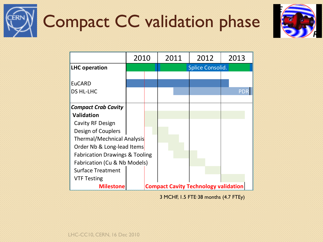



|                                           | 2010                                        |  | 2011                    |  |  | 2012 | 2013       |  |
|-------------------------------------------|---------------------------------------------|--|-------------------------|--|--|------|------------|--|
| <b>LHC operation</b>                      |                                             |  | <b>Splice Consolid.</b> |  |  |      |            |  |
|                                           |                                             |  |                         |  |  |      |            |  |
| <b>EuCARD</b>                             |                                             |  |                         |  |  |      |            |  |
| <b>DS HL-LHC</b>                          |                                             |  |                         |  |  |      | <b>PDR</b> |  |
|                                           |                                             |  |                         |  |  |      |            |  |
| <b>Compact Crab Cavity</b>                |                                             |  |                         |  |  |      |            |  |
| <b>Validation</b>                         |                                             |  |                         |  |  |      |            |  |
| Cavity RF Design                          |                                             |  |                         |  |  |      |            |  |
| Design of Couplers                        |                                             |  |                         |  |  |      |            |  |
| Thermal/Mechnical Analysis                |                                             |  |                         |  |  |      |            |  |
| Order Nb & Long-lead Items                |                                             |  |                         |  |  |      |            |  |
| <b>Fabrication Drawings &amp; Tooling</b> |                                             |  |                         |  |  |      |            |  |
| Fabrication (Cu & Nb Models)              |                                             |  |                         |  |  |      |            |  |
| <b>Surface Treatment</b>                  |                                             |  |                         |  |  |      |            |  |
| <b>VTF Testing</b>                        |                                             |  |                         |  |  |      |            |  |
| <b>Milestone</b>                          | <b>Compact Cavity Technology validation</b> |  |                         |  |  |      |            |  |

3 MCHF, 1.5 FTE∙38 months (4.7 FTEy)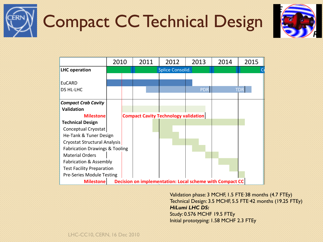



|                                                                              | 2010 |                  | 2011                                        | 2012 | 2013       | 2014 | 2015       |  |
|------------------------------------------------------------------------------|------|------------------|---------------------------------------------|------|------------|------|------------|--|
| <b>LHC</b> operation                                                         |      | Splice Consolid. |                                             |      |            |      |            |  |
|                                                                              |      |                  |                                             |      |            |      |            |  |
| EuCARD                                                                       |      |                  |                                             |      |            |      |            |  |
| <b>DS HL-LHC</b>                                                             |      |                  |                                             |      | <b>PDR</b> |      | <b>TDR</b> |  |
|                                                                              |      |                  |                                             |      |            |      |            |  |
| <b>Compact Crab Cavity</b>                                                   |      |                  |                                             |      |            |      |            |  |
| <b>Validation</b>                                                            |      |                  |                                             |      |            |      |            |  |
| <b>Milestone</b>                                                             |      |                  | <b>Compact Cavity Technology validation</b> |      |            |      |            |  |
| <b>Technical Design</b>                                                      |      |                  |                                             |      |            |      |            |  |
| Conceptual Cryostat                                                          |      |                  |                                             |      |            |      |            |  |
| He-Tank & Tuner Design                                                       |      |                  |                                             |      |            |      |            |  |
| Cryostat Structural Analysis                                                 |      |                  |                                             |      |            |      |            |  |
| <b>Fabrication Drawings &amp; Tooling</b>                                    |      |                  |                                             |      |            |      |            |  |
| <b>Material Orders</b>                                                       |      |                  |                                             |      |            |      |            |  |
| Fabrication & Assembly                                                       |      |                  |                                             |      |            |      |            |  |
| <b>Test Facility Preparation</b>                                             |      |                  |                                             |      |            |      |            |  |
| Pre-Series Module Testing                                                    |      |                  |                                             |      |            |      |            |  |
| Decision on implementation: Local scheme with Compact CC<br><b>Milestone</b> |      |                  |                                             |      |            |      |            |  |

Validation phase: 3 MCHF, 1.5 FTE∙38 months (4.7 FTEy) Technical Design: 3.5 MCHF, 5.5 FTE∙42 months (19.25 FTEy) *HiLumi LHC DS:*  Study: 0.576 MCHF 19.5 FTEy Initial prototyping: 1.58 MCHF 2.3 FTEy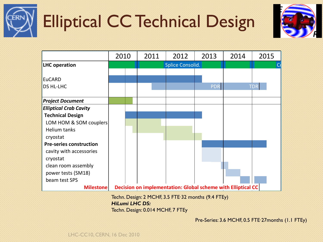

## Elliptical CC Technical Design



|                                | 2010 |                                                              | 2011 | 2012                    | 2013       | 2014 | 2015       |  |  |
|--------------------------------|------|--------------------------------------------------------------|------|-------------------------|------------|------|------------|--|--|
| <b>LHC</b> operation           |      |                                                              |      | <b>Splice Consolid.</b> |            | C٥   |            |  |  |
|                                |      |                                                              |      |                         |            |      |            |  |  |
| <b>EuCARD</b>                  |      |                                                              |      |                         |            |      |            |  |  |
| <b>DS HL-LHC</b>               |      |                                                              |      |                         | <b>PDR</b> |      | <b>TDR</b> |  |  |
|                                |      |                                                              |      |                         |            |      |            |  |  |
| <b>Project Document</b>        |      |                                                              |      |                         |            |      |            |  |  |
| <b>Elliptical Crab Cavity</b>  |      |                                                              |      |                         |            |      |            |  |  |
| <b>Technical Design</b>        |      |                                                              |      |                         |            |      |            |  |  |
| LOM HOM & SOM couplers         |      |                                                              |      |                         |            |      |            |  |  |
| Helium tanks                   |      |                                                              |      |                         |            |      |            |  |  |
| cryostat                       |      |                                                              |      |                         |            |      |            |  |  |
| <b>Pre-series construction</b> |      |                                                              |      |                         |            |      |            |  |  |
| cavity with accessories        |      |                                                              |      |                         |            |      |            |  |  |
| cryostat                       |      |                                                              |      |                         |            |      |            |  |  |
| clean room assembly            |      |                                                              |      |                         |            |      |            |  |  |
| power tests (SM18)             |      |                                                              |      |                         |            |      |            |  |  |
| beam test SPS                  |      |                                                              |      |                         |            |      |            |  |  |
| <b>Milestone</b>               |      | Decision on implementation: Global scheme with Elliptical CC |      |                         |            |      |            |  |  |

Techn. Design: 2 MCHF, 3.5 FTE∙32 months (9.4 FTEy) *HiLumi LHC DS:*  Techn. Design: 0.014 MCHF, 7 FTEy

Pre-Series: 3.6 MCHF, 0.5 FTE∙27months (1.1 FTEy)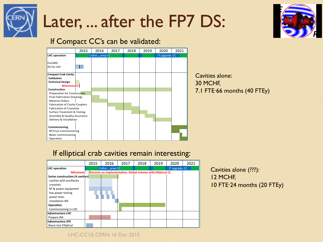

### Later, ... after the FP7 DS:



#### If Compact CC's can be validated:



### Cavities alone: 7.1 FTE∙66 months (40 FTEy)

#### If elliptical crab cavities remain interesting:



#### Cavities alone (???): 12 MCHF, 10 FTE∙24 months (20 FTEy)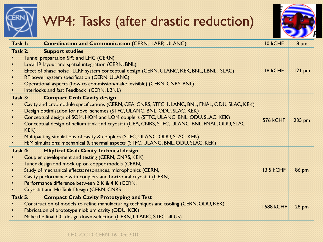### WP4: Tasks (after drastic reduction)



| Task I:   | <b>Coordination and Communication (CERN, LARP, ULANC)</b>                                      | 10 kCHF           | 8 pm         |
|-----------|------------------------------------------------------------------------------------------------|-------------------|--------------|
| Task 2:   | <b>Support studies</b>                                                                         |                   |              |
| $\bullet$ | Tunnel preparation SPS and LHC (CERN)                                                          |                   |              |
| $\bullet$ | Local IR layout and spatial integration (CERN, BNL)                                            |                   |              |
| $\bullet$ | Effect of phase noise, LLRF system conceptual design (CERN, ULANC, KEK, BNL, LBNL, SLAC)       | 18 kCHF           | $121$ pm     |
| $\bullet$ | RF power system specification (CERN, ULANC)                                                    |                   |              |
| $\bullet$ | Operational aspects (how to commission/make invisible) (CERN, CNRS, BNL)                       |                   |              |
| $\bullet$ | Interlocks and fast Feedback (CERN, LBNL)                                                      |                   |              |
| Task 3:   | <b>Compact Crab Cavity design</b>                                                              |                   |              |
|           | Cavity and cryomodule specifications (CERN, CEA, CNRS, STFC, ULANC, BNL, FNAL, ODU, SLAC, KEK) |                   |              |
| $\bullet$ | Design optimisation for novel schemes (STFC, ULANC, BNL, ODU, SLAC, KEK)                       |                   |              |
| $\bullet$ | Conceptual design of SOM, HOM and LOM couplers (STFC, ULANC, BNL, ODU, SLAC, KEK)              | 576 kCHF          | 235 pm       |
| $\bullet$ | Conceptual design of helium tank and cryostat (CEA, CNRS, STFC, ULANC, BNL, FNAL, ODU, SLAC,   |                   |              |
|           | KEK)                                                                                           |                   |              |
| $\bullet$ | Multipacting simulations of cavity & couplers (STFC, ULANC, ODU, SLAC, KEK)                    |                   |              |
| $\bullet$ | FEM simulations: mechanical & thermal aspects (STFC, ULANC, BNL, ODU, SLAC, KEK)               |                   |              |
| Task 4:   | <b>Elliptical Crab Cavity Technical design</b>                                                 |                   |              |
| $\bullet$ | Coupler development and testing (CERN, CNRS, KEK)                                              |                   |              |
| $\bullet$ | Tuner design and mock up on copper models (CERN,                                               |                   |              |
| $\bullet$ | Study of mechanical effects: resonances, microphonics (CERN,                                   | <b>13.5 kCHF</b>  | <b>86 pm</b> |
| $\bullet$ | Cavity performance with couplers and horizontal cryostat (CERN,                                |                   |              |
| $\bullet$ | Performance difference between 2 K & 4 K (CERN,                                                |                   |              |
| $\bullet$ | <b>Cryostat and He Tank Design (CERN, CNRS</b>                                                 |                   |              |
| Task 5:   | <b>Compact Crab Cavity Prototyping and Test</b>                                                |                   |              |
| $\bullet$ | Construction of models to refine manufacturing techniques and tooling (CERN, ODU, KEK)         | <b>1,588 kCHF</b> |              |
| $\bullet$ | Fabrication of prototype niobium cavity (ODU, KEK)                                             |                   | <b>28 pm</b> |
|           | Make the final CC design down-selection (CERN, ULANC, STFC, all US)                            |                   |              |